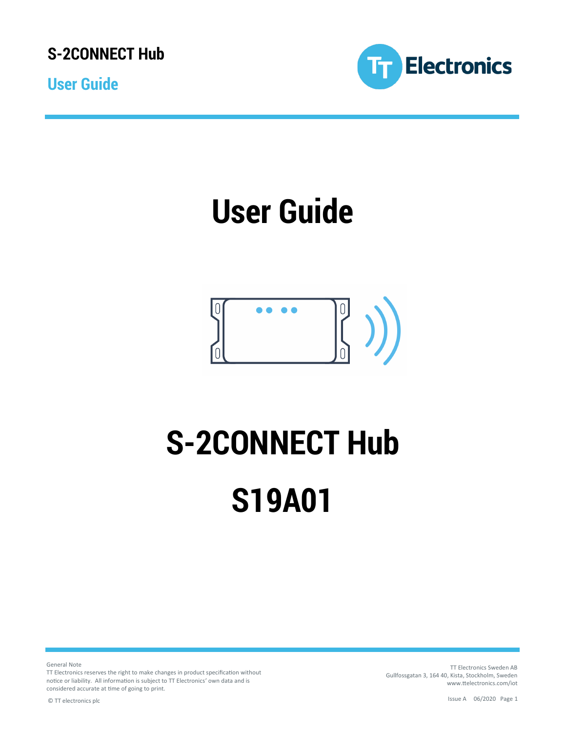**User Guide**



## **User Guide**

### $\frac{1}{2}$  $\theta$  $\bullet$

# **S-2CONNECT Hub S19A01**

General Note

TT Electronics reserves the right to make changes in product specification without notice or liability. All information is subject to TT Electronics' own data and is considered accurate at time of going to print.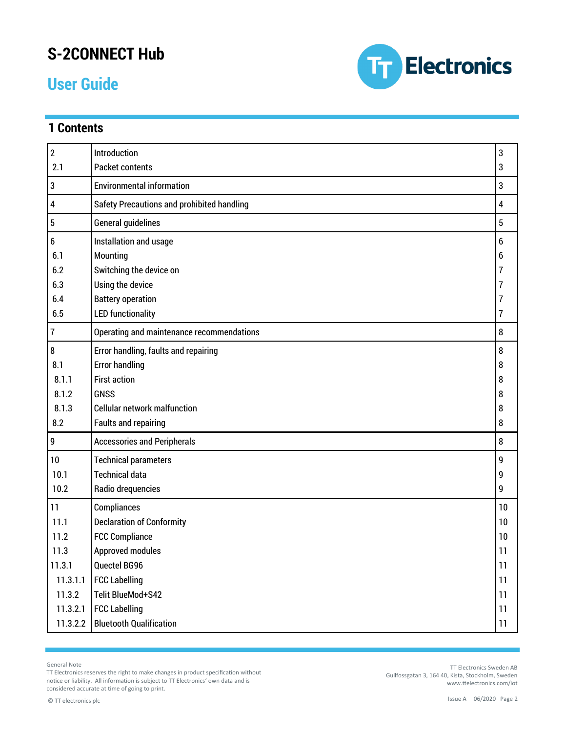### **User Guide**

**1 Contents**



3 3

#### 2 2.1 Introduction Packet contents 3 Environmental information 3 4 Safety Precautions and prohibited handling 4 5 General guidelines **5** 6 6.1 6.2 6.3 6.4 6.5 Installation and usage Mounting Switching the device on Using the device Battery operation LED functionality Error handling, faults and repairing Error handling First action GNSS Cellular network malfunction Faults and repairing

| 7        | 8<br>Operating and maintenance recommendations |    |  |
|----------|------------------------------------------------|----|--|
| 8        | Error handling, faults and repairing           | 8  |  |
| 8.1      | <b>Error handling</b>                          |    |  |
| 8.1.1    | <b>First action</b>                            | 8  |  |
| 8.1.2    | <b>GNSS</b>                                    | 8  |  |
| 8.1.3    | <b>Cellular network malfunction</b>            | 8  |  |
| 8.2      | <b>Faults and repairing</b>                    | 8  |  |
| g        | <b>Accessories and Peripherals</b>             | 8  |  |
| 10       | <b>Technical parameters</b>                    | 9  |  |
| 10.1     | <b>Technical data</b>                          |    |  |
| 10.2     | Radio drequencies                              | 9  |  |
| 11       | Compliances                                    | 10 |  |
| 11.1     | <b>Declaration of Conformity</b>               |    |  |
| 11.2     | <b>FCC Compliance</b>                          | 10 |  |
| 11.3     | Approved modules                               | 11 |  |
| 11.3.1   | Quectel BG96                                   | 11 |  |
| 11.3.1.1 | <b>FCC Labelling</b>                           | 11 |  |
| 11.3.2   | Telit BlueMod+S42                              |    |  |
| 11.3.2.1 | <b>FCC Labelling</b>                           | 11 |  |
| 11.3.2.2 | <b>Bluetooth Qualification</b>                 | 11 |  |
|          |                                                |    |  |

General Note

TT Electronics reserves the right to make changes in product specification without notice or liability. All information is subject to TT Electronics' own data and is considered accurate at time of going to print.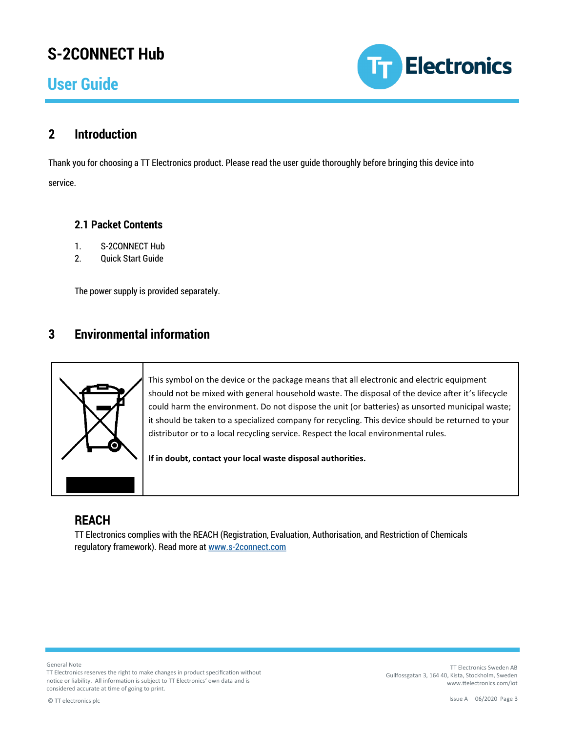### **User Guide**



### **2 Introduction**

Thank you for choosing a TT Electronics product. Please read the user guide thoroughly before bringing this device into service.

#### **2.1 Packet Contents**

- 1. S-2CONNECT Hub
- 2. Quick Start Guide

The power supply is provided separately.

### **3 Environmental information**



This symbol on the device or the package means that all electronic and electric equipment should not be mixed with general household waste. The disposal of the device after it's lifecycle could harm the environment. Do not dispose the unit (or batteries) as unsorted municipal waste; it should be taken to a specialized company for recycling. This device should be returned to your distributor or to a local recycling service. Respect the local environmental rules.

**If in doubt, contact your local waste disposal authorities.**

### **REACH**

TT Electronics complies with the REACH (Registration, Evaluation, Authorisation, and Restriction of Chemicals regulatory framework). Read more at [www.s-2connect.com](http://www.s-2connect.com) 

General Note

TT Electronics reserves the right to make changes in product specification without notice or liability. All information is subject to TT Electronics' own data and is considered accurate at time of going to print.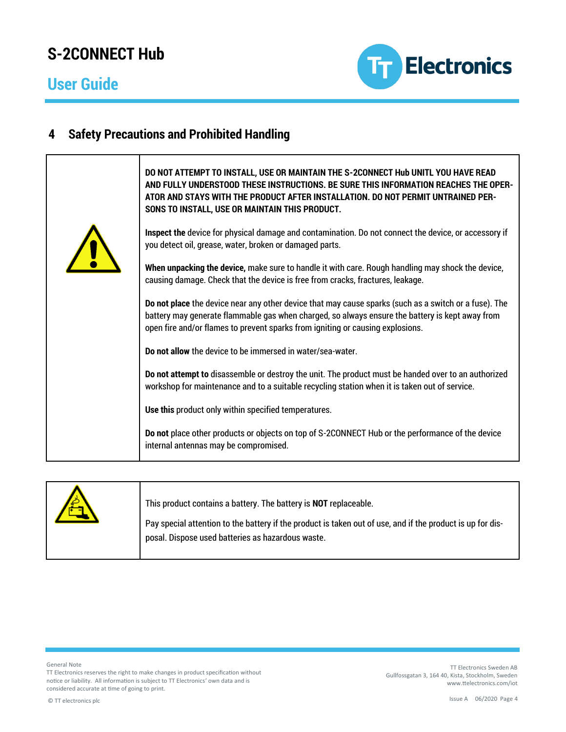### **User Guide**



### **4 Safety Precautions and Prohibited Handling**

| DO NOT ATTEMPT TO INSTALL, USE OR MAINTAIN THE S-2CONNECT Hub UNITL YOU HAVE READ<br>AND FULLY UNDERSTOOD THESE INSTRUCTIONS. BE SURE THIS INFORMATION REACHES THE OPER-<br>ATOR AND STAYS WITH THE PRODUCT AFTER INSTALLATION. DO NOT PERMIT UNTRAINED PER-<br>SONS TO INSTALL, USE OR MAINTAIN THIS PRODUCT. |
|----------------------------------------------------------------------------------------------------------------------------------------------------------------------------------------------------------------------------------------------------------------------------------------------------------------|
| Inspect the device for physical damage and contamination. Do not connect the device, or accessory if<br>you detect oil, grease, water, broken or damaged parts.                                                                                                                                                |
| When unpacking the device, make sure to handle it with care. Rough handling may shock the device,<br>causing damage. Check that the device is free from cracks, fractures, leakage.                                                                                                                            |
| Do not place the device near any other device that may cause sparks (such as a switch or a fuse). The<br>battery may generate flammable gas when charged, so always ensure the battery is kept away from<br>open fire and/or flames to prevent sparks from igniting or causing explosions.                     |
| Do not allow the device to be immersed in water/sea-water.                                                                                                                                                                                                                                                     |
| Do not attempt to disassemble or destroy the unit. The product must be handed over to an authorized<br>workshop for maintenance and to a suitable recycling station when it is taken out of service.                                                                                                           |
| Use this product only within specified temperatures.                                                                                                                                                                                                                                                           |
| Do not place other products or objects on top of S-2CONNECT Hub or the performance of the device<br>internal antennas may be compromised.                                                                                                                                                                      |

| This product contains a battery. The battery is NOT replaceable.<br>Pay special attention to the battery if the product is taken out of use, and if the product is up for dis-<br>posal. Dispose used batteries as hazardous waste. |
|-------------------------------------------------------------------------------------------------------------------------------------------------------------------------------------------------------------------------------------|
|                                                                                                                                                                                                                                     |

General Note

TT Electronics reserves the right to make changes in product specification without notice or liability. All information is subject to TT Electronics' own data and is considered accurate at time of going to print.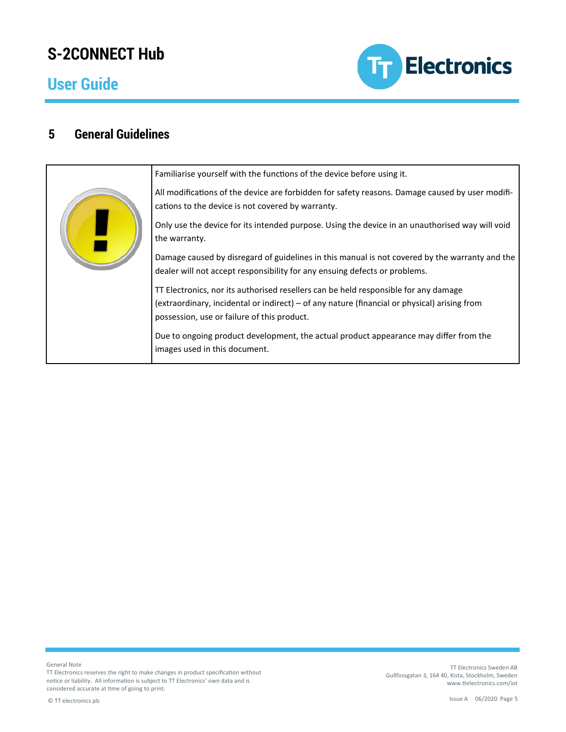### **User Guide**



### **5 General Guidelines**



Familiarise yourself with the functions of the device before using it.

All modifications of the device are forbidden for safety reasons. Damage caused by user modifications to the device is not covered by warranty.

Only use the device for its intended purpose. Using the device in an unauthorised way will void the warranty.

Damage caused by disregard of guidelines in this manual is not covered by the warranty and the dealer will not accept responsibility for any ensuing defects or problems.

TT Electronics, nor its authorised resellers can be held responsible for any damage (extraordinary, incidental or indirect) – of any nature (financial or physical) arising from possession, use or failure of this product.

Due to ongoing product development, the actual product appearance may differ from the images used in this document.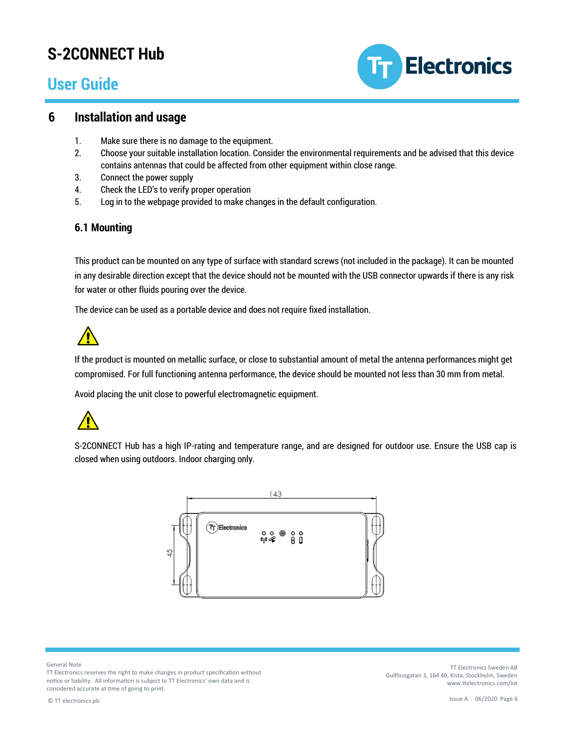### **User Guide**



#### **6 Installation and usage**

- 1. Make sure there is no damage to the equipment.
- 2. Choose your suitable installation location. Consider the environmental requirements and be advised that this device contains antennas that could be affected from other equipment within close range.
- 3. Connect the power supply
- 4. Check the LED's to verify proper operation
- 5. Log in to the webpage provided to make changes in the default configuration.

#### **6.1 Mounting**

This product can be mounted on any type of surface with standard screws (not included in the package). It can be mounted in any desirable direction except that the device should not be mounted with the USB connector upwards if there is any risk for water or other fluids pouring over the device.

The device can be used as a portable device and does not require fixed installation.



If the product is mounted on metallic surface, or close to substantial amount of metal the antenna performances might get compromised. For full functioning antenna performance, the device should be mounted not less than 30 mm from metal.

Avoid placing the unit close to powerful electromagnetic equipment.



S-2CONNECT Hub has a high IP-rating and temperature range, and are designed for outdoor use. Ensure the USB cap is closed when using outdoors. Indoor charging only.



General Note

TT Electronics reserves the right to make changes in product specification without notice or liability. All information is subject to TT Electronics' own data and is considered accurate at time of going to print.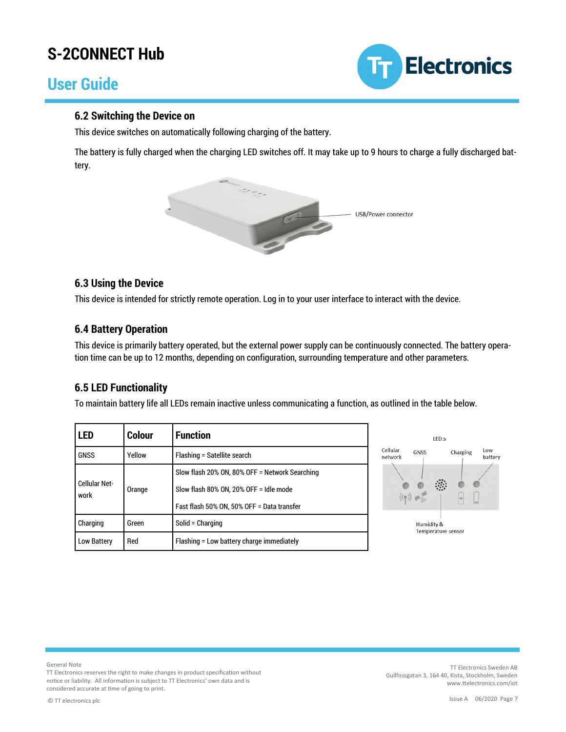### **User Guide**



#### **6.2 Switching the Device on**

This device switches on automatically following charging of the battery.

The battery is fully charged when the charging LED switches off. It may take up to 9 hours to charge a fully discharged battery.



#### **6.3 Using the Device**

This device is intended for strictly remote operation. Log in to your user interface to interact with the device.

#### **6.4 Battery Operation**

This device is primarily battery operated, but the external power supply can be continuously connected. The battery operation time can be up to 12 months, depending on configuration, surrounding temperature and other parameters.

#### **6.5 LED Functionality**

To maintain battery life all LEDs remain inactive unless communicating a function, as outlined in the table below.

| <b>LED</b>                                           | <b>Colour</b> | <b>Function</b>                                |  |
|------------------------------------------------------|---------------|------------------------------------------------|--|
| <b>GNSS</b><br>Yellow<br>Flashing = Satellite search |               |                                                |  |
| <b>Cellular Net-</b>                                 |               | Slow flash 20% ON, 80% OFF = Network Searching |  |
| work                                                 | Orange        | Slow flash 80% ON, 20% OFF = Idle mode         |  |
|                                                      |               | Fast flash 50% ON, 50% OFF = Data transfer     |  |
| Charging<br>Solid = Charging<br>Green                |               |                                                |  |
| Red<br>Low Battery                                   |               | Flashing = Low battery charge immediately      |  |



General Note

TT Electronics reserves the right to make changes in product specification without notice or liability. All information is subject to TT Electronics' own data and is considered accurate at time of going to print.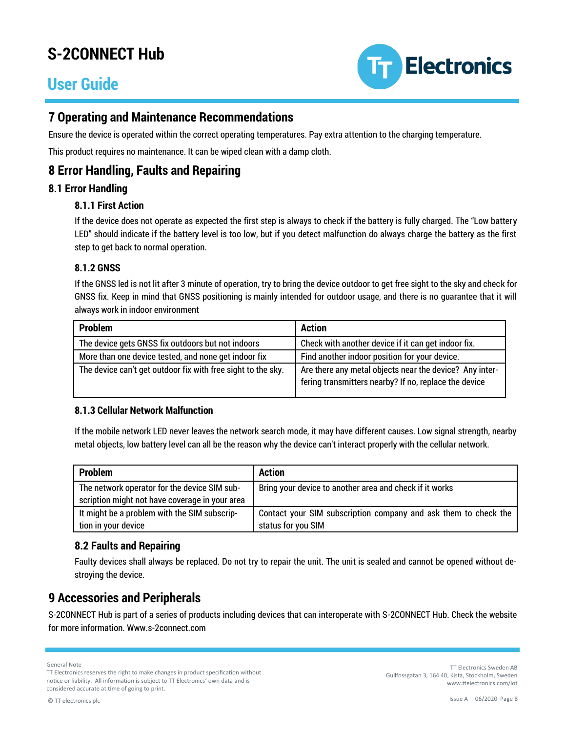### **User Guide**



### **7 Operating and Maintenance Recommendations**

Ensure the device is operated within the correct operating temperatures. Pay extra attention to the charging temperature.

This product requires no maintenance. It can be wiped clean with a damp cloth.

### **8 Error Handling, Faults and Repairing**

#### **8.1 Error Handling**

#### **8.1.1 First Action**

If the device does not operate as expected the first step is always to check if the battery is fully charged. The "Low battery LED" should indicate if the battery level is too low, but if you detect malfunction do always charge the battery as the first step to get back to normal operation.

#### **8.1.2 GNSS**

If the GNSS led is not lit after 3 minute of operation, try to bring the device outdoor to get free sight to the sky and check for GNSS fix. Keep in mind that GNSS positioning is mainly intended for outdoor usage, and there is no guarantee that it will always work in indoor environment

| <b>Problem</b>                                               | <b>Action</b>                                                                                                    |
|--------------------------------------------------------------|------------------------------------------------------------------------------------------------------------------|
| The device gets GNSS fix outdoors but not indoors            | Check with another device if it can get indoor fix.                                                              |
| More than one device tested, and none get indoor fix         | Find another indoor position for your device.                                                                    |
| The device can't get outdoor fix with free sight to the sky. | Are there any metal objects near the device? Any inter-<br>fering transmitters nearby? If no, replace the device |

#### **8.1.3 Cellular Network Malfunction**

If the mobile network LED never leaves the network search mode, it may have different causes. Low signal strength, nearby metal objects, low battery level can all be the reason why the device can't interact properly with the cellular network.

| <b>Problem</b>                                 | <b>Action</b>                                                   |
|------------------------------------------------|-----------------------------------------------------------------|
| The network operator for the device SIM sub-   | Bring your device to another area and check if it works         |
| scription might not have coverage in your area |                                                                 |
| It might be a problem with the SIM subscrip-   | Contact your SIM subscription company and ask them to check the |
| tion in your device                            | status for you SIM                                              |

#### **8.2 Faults and Repairing**

Faulty devices shall always be replaced. Do not try to repair the unit. The unit is sealed and cannot be opened without destroying the device.

### **9 Accessories and Peripherals**

S-2CONNECT Hub is part of a series of products including devices that can interoperate with S-2CONNECT Hub. Check the website for more information. Www.s-2connect.com

General Note

TT Electronics reserves the right to make changes in product specification without notice or liability. All information is subject to TT Electronics' own data and is considered accurate at time of going to print.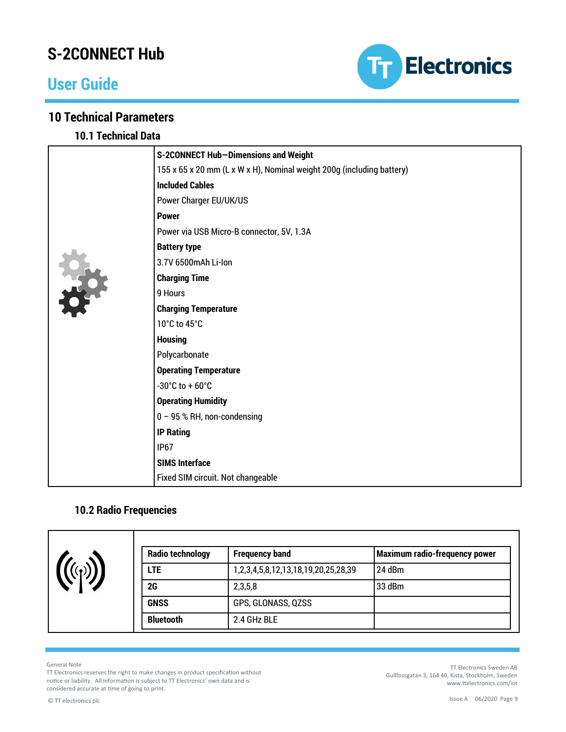### **User Guide**



### **10 Technical Parameters**

**10.1 Technical Data**

| S-2CONNECT Hub-Dimensions and Weight                                  |
|-----------------------------------------------------------------------|
| 155 x 65 x 20 mm (L x W x H), Nominal weight 200g (including battery) |
| <b>Included Cables</b>                                                |
| Power Charger EU/UK/US                                                |
| <b>Power</b>                                                          |
| Power via USB Micro-B connector, 5V, 1.3A                             |
| <b>Battery type</b>                                                   |
| 3.7V 6500mAh Li-Ion                                                   |
| <b>Charging Time</b>                                                  |
| 9 Hours                                                               |
| <b>Charging Temperature</b>                                           |
| 10°C to 45°C                                                          |
| <b>Housing</b>                                                        |
| Polycarbonate                                                         |
| <b>Operating Temperature</b>                                          |
| -30 $^{\circ}$ C to +60 $^{\circ}$ C                                  |
| <b>Operating Humidity</b>                                             |
| $0 - 95$ % RH, non-condensing                                         |
| <b>IP Rating</b>                                                      |
| IP <sub>67</sub>                                                      |
| <b>SIMS Interface</b>                                                 |
| Fixed SIM circuit. Not changeable                                     |

### **10.2 Radio Frequencies**

| <b>Radio technology</b> | <b>Frequency band</b>               | Maximum radio-frequency power |
|-------------------------|-------------------------------------|-------------------------------|
| <b>LTE</b>              | 1,2,3,4,5,8,12,13,18,19,20,25,28,39 | 24 dBm                        |
| 2G                      | 2,3,5,8                             | 33 dBm                        |
| <b>GNSS</b>             | GPS, GLONASS, QZSS                  |                               |
| <b>Bluetooth</b>        | 2.4 GHz BLE                         |                               |

General Note

TT Electronics reserves the right to make changes in product specification without notice or liability. All information is subject to TT Electronics' own data and is considered accurate at time of going to print.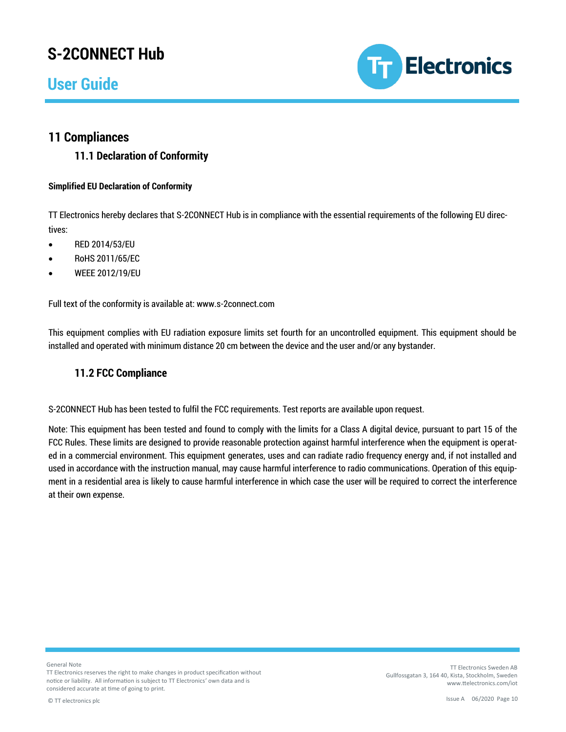### **User Guide**



### **11 Compliances**

**11.1 Declaration of Conformity**

#### **Simplified EU Declaration of Conformity**

TT Electronics hereby declares that S-2CONNECT Hub is in compliance with the essential requirements of the following EU directives:

- RED 2014/53/EU
- RoHS 2011/65/EC
- WEEE 2012/19/EU

Full text of the conformity is available at: www.s-2connect.com

This equipment complies with EU radiation exposure limits set fourth for an uncontrolled equipment. This equipment should be installed and operated with minimum distance 20 cm between the device and the user and/or any bystander.

#### **11.2 FCC Compliance**

S-2CONNECT Hub has been tested to fulfil the FCC requirements. Test reports are available upon request.

Note: This equipment has been tested and found to comply with the limits for a Class A digital device, pursuant to part 15 of the FCC Rules. These limits are designed to provide reasonable protection against harmful interference when the equipment is operated in a commercial environment. This equipment generates, uses and can radiate radio frequency energy and, if not installed and used in accordance with the instruction manual, may cause harmful interference to radio communications. Operation of this equipment in a residential area is likely to cause harmful interference in which case the user will be required to correct the interference at their own expense.

General Note

TT Electronics reserves the right to make changes in product specification without notice or liability. All information is subject to TT Electronics' own data and is considered accurate at time of going to print.